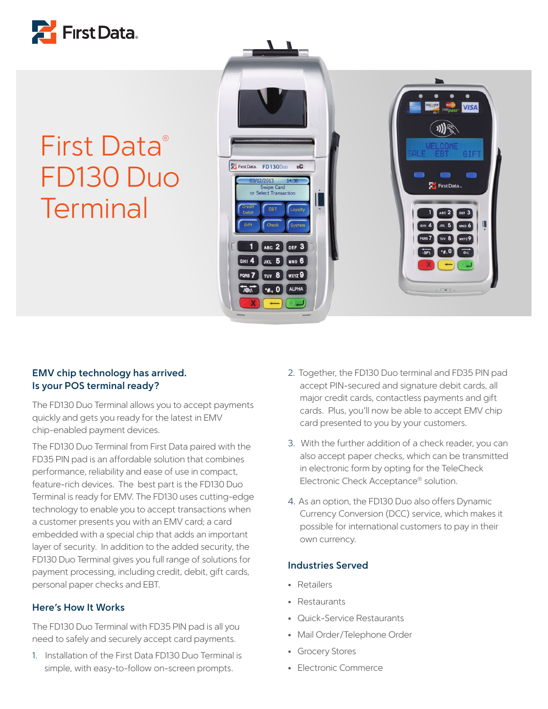

## First Data® FD130 Duo **Terminal**



## **EMV chip technology has arrived. Is your POS terminal ready?**

The FD130 Duo Terminal allows you to accept payments quickly and gets you ready for the latest in EMV chip-enabled payment devices.

The FD130 Duo Terminal from First Data paired with the FD35 PIN pad is an affordable solution that combines performance, reliability and ease of use in compact, feature-rich devices. The best part is the FD130 Duo Terminal is ready for EMV. The FD130 uses cutting-edge technology to enable you to accept transactions when a customer presents you with an EMV card; a card embedded with a special chip that adds an important layer of security. In addition to the added security, the FD130 Duo Terminal gives you full range of solutions for payment processing, including credit, debit, gift cards, personal paper checks and EBT.

## **Here's How It Works**

The FD130 Duo Terminal with FD35 PIN pad is all you need to safely and securely accept card payments.

1. Installation of the First Data FD130 Duo Terminal is simple, with easy-to-follow on-screen prompts.

- 2. Together, the FD130 Duo terminal and FD35 PIN pad accept PIN-secured and signature debit cards, all major credit cards, contactless payments and gift cards. Plus, you'll now be able to accept EMV chip card presented to you by your customers.
- 3. With the further addition of a check reader, you can also accept paper checks, which can be transmitted in electronic form by opting for the TeleCheck Electronic Check Acceptance® solution.
- 4. As an option, the FD130 Duo also offers Dynamic Currency Conversion (DCC) service, which makes it possible for international customers to pay in their own currency.

#### **Industries Served**

- Retailers
- Restaurants
- Quick-Service Restaurants
- Mail Order/Telephone Order
- Grocery Stores
- Electronic Commerce